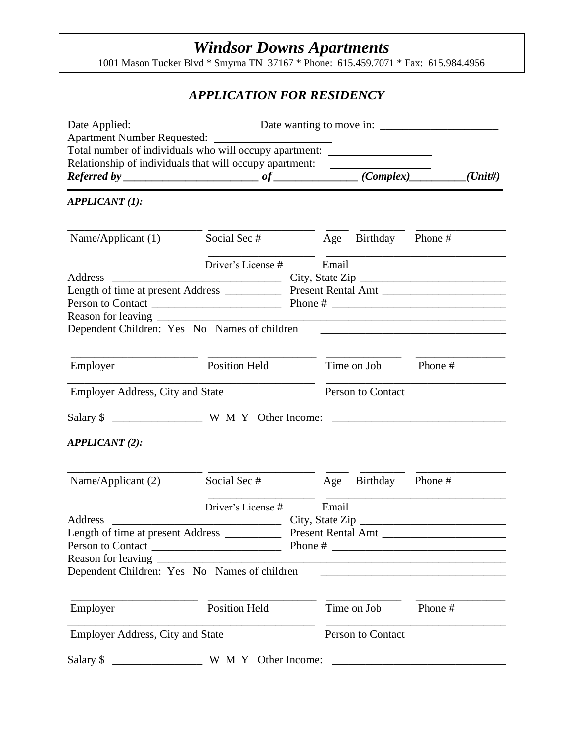# *Windsor Downs Apartments*

1001 Mason Tucker Blvd \* Smyrna TN 37167 \* Phone: 615.459.7071 \* Fax: 615.984.4956

# *APPLICATION FOR RESIDENCY*

| Total number of individuals who will occupy apartment: _________________________                                      |                      |  |                    |                   |         |  |
|-----------------------------------------------------------------------------------------------------------------------|----------------------|--|--------------------|-------------------|---------|--|
|                                                                                                                       |                      |  |                    |                   |         |  |
| Relationship of individuals that will occupy apartment:<br>$Referred by _______ of _______ (Complex) _______ (Unit#)$ |                      |  |                    |                   |         |  |
|                                                                                                                       |                      |  |                    |                   |         |  |
| <b>APPLICANT (1):</b>                                                                                                 |                      |  |                    |                   |         |  |
| Name/Applicant $(1)$                                                                                                  | Social Sec #         |  | Age                | Birthday Phone #  |         |  |
|                                                                                                                       | Driver's License #   |  | Email              |                   |         |  |
| Address                                                                                                               |                      |  |                    |                   |         |  |
|                                                                                                                       |                      |  |                    |                   |         |  |
|                                                                                                                       |                      |  |                    |                   |         |  |
| Dependent Children: Yes No Names of children                                                                          |                      |  |                    |                   |         |  |
|                                                                                                                       |                      |  |                    |                   |         |  |
| Employer                                                                                                              | <b>Position Held</b> |  |                    | Time on Job       | Phone # |  |
| <b>Employer Address, City and State</b>                                                                               |                      |  |                    | Person to Contact |         |  |
|                                                                                                                       |                      |  |                    |                   |         |  |
|                                                                                                                       |                      |  |                    |                   |         |  |
| <b>APPLICANT</b> (2):                                                                                                 |                      |  |                    |                   |         |  |
|                                                                                                                       |                      |  |                    |                   |         |  |
| Name/Applicant (2)                                                                                                    | Social Sec #         |  | Age                | Birthday Phone #  |         |  |
|                                                                                                                       | Driver's License #   |  | Email              |                   |         |  |
| Address                                                                                                               |                      |  |                    |                   |         |  |
| Length of time at present Address _                                                                                   |                      |  | Present Rental Amt |                   |         |  |
| Person to Contact                                                                                                     |                      |  |                    |                   |         |  |
| Reason for leaving                                                                                                    |                      |  |                    |                   |         |  |
| Dependent Children: Yes No Names of children                                                                          |                      |  |                    |                   |         |  |
| Employer                                                                                                              | <b>Position Held</b> |  |                    | Time on Job       | Phone#  |  |
|                                                                                                                       |                      |  |                    |                   |         |  |
| <b>Employer Address, City and State</b>                                                                               |                      |  |                    | Person to Contact |         |  |
| Salary \$                                                                                                             | W M Y Other Income:  |  |                    |                   |         |  |